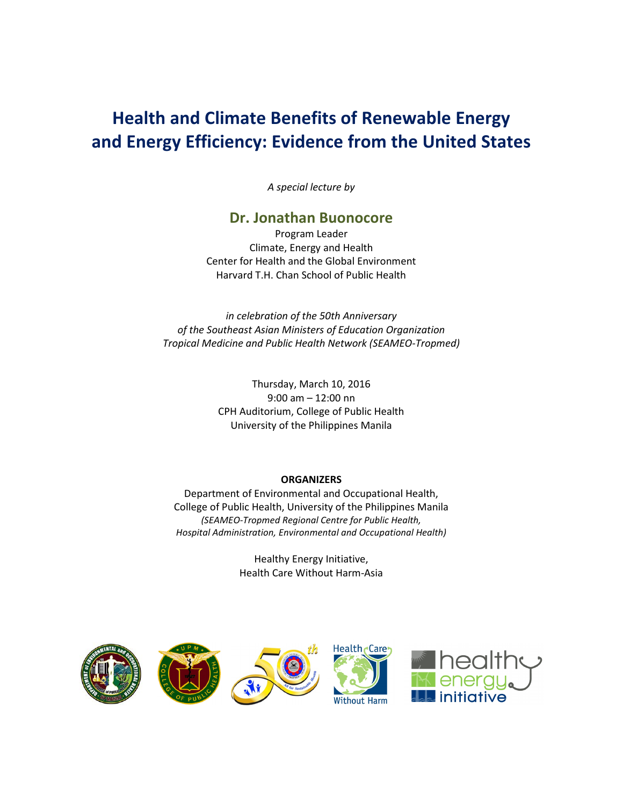# **Health and Climate Benefits of Renewable Energy and Energy Efficiency: Evidence from the United States**

*A special lecture by* 

## **Dr. Jonathan Buonocore**

Program Leader Climate, Energy and Health Center for Health and the Global Environment Harvard T.H. Chan School of Public Health

*in celebration of the 50th Anniversary of the Southeast Asian Ministers of Education Organization Tropical Medicine and Public Health Network (SEAMEO-Tropmed)* 

> Thursday, March 10, 2016 9:00 am – 12:00 nn CPH Auditorium, College of Public Health University of the Philippines Manila

### **ORGANIZERS**

Department of Environmental and Occupational Health, College of Public Health, University of the Philippines Manila *(SEAMEO-Tropmed Regional Centre for Public Health, Hospital Administration, Environmental and Occupational Health)* 

> Healthy Energy Initiative, Health Care Without Harm-Asia

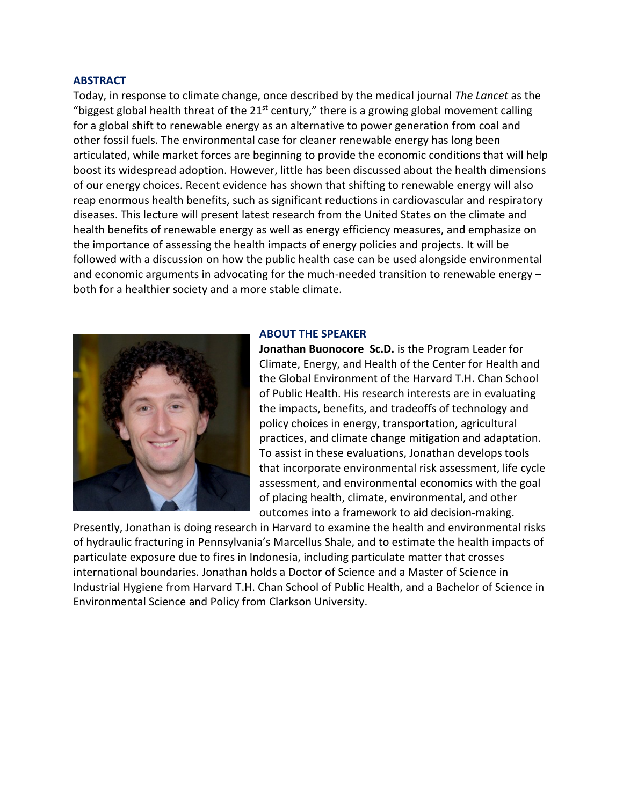#### **ABSTRACT**

Today, in response to climate change, once described by the medical journal *The Lancet* as the "biggest global health threat of the 21<sup>st</sup> century," there is a growing global movement calling for a global shift to renewable energy as an alternative to power generation from coal and other fossil fuels. The environmental case for cleaner renewable energy has long been articulated, while market forces are beginning to provide the economic conditions that will help boost its widespread adoption. However, little has been discussed about the health dimensions of our energy choices. Recent evidence has shown that shifting to renewable energy will also reap enormous health benefits, such as significant reductions in cardiovascular and respiratory diseases. This lecture will present latest research from the United States on the climate and health benefits of renewable energy as well as energy efficiency measures, and emphasize on the importance of assessing the health impacts of energy policies and projects. It will be followed with a discussion on how the public health case can be used alongside environmental and economic arguments in advocating for the much-needed transition to renewable energy – both for a healthier society and a more stable climate.



#### **ABOUT THE SPEAKER**

**Jonathan Buonocore Sc.D.** is the Program Leader for Climate, Energy, and Health of the Center for Health and the Global Environment of the Harvard T.H. Chan School of Public Health. His research interests are in evaluating the impacts, benefits, and tradeoffs of technology and policy choices in energy, transportation, agricultural practices, and climate change mitigation and adaptation. To assist in these evaluations, Jonathan develops tools that incorporate environmental risk assessment, life cycle assessment, and environmental economics with the goal of placing health, climate, environmental, and other outcomes into a framework to aid decision-making.

Presently, Jonathan is doing research in Harvard to examine the health and environmental risks of hydraulic fracturing in Pennsylvania's Marcellus Shale, and to estimate the health impacts of particulate exposure due to fires in Indonesia, including particulate matter that crosses international boundaries. Jonathan holds a Doctor of Science and a Master of Science in Industrial Hygiene from Harvard T.H. Chan School of Public Health, and a Bachelor of Science in Environmental Science and Policy from Clarkson University.